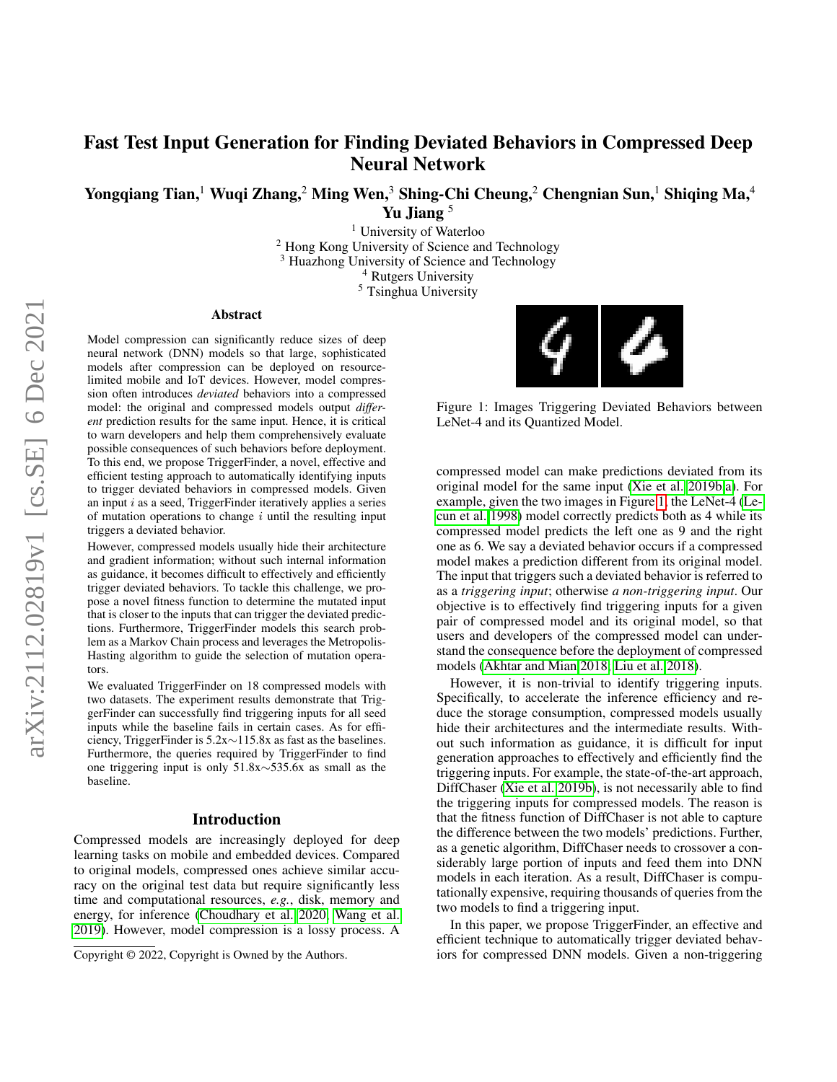# Fast Test Input Generation for Finding Deviated Behaviors in Compressed Deep Neural Network

Yongqiang Tian,<sup>1</sup> Wuqi Zhang,<sup>2</sup> Ming Wen,<sup>3</sup> Shing-Chi Cheung,<sup>2</sup> Chengnian Sun,<sup>1</sup> Shiqing Ma,<sup>4</sup> Yu Jiang<sup>5</sup>

> <sup>1</sup> University of Waterloo <sup>2</sup> Hong Kong University of Science and Technology <sup>3</sup> Huazhong University of Science and Technology <sup>4</sup> Rutgers University <sup>5</sup> Tsinghua University

#### Abstract

Model compression can significantly reduce sizes of deep neural network (DNN) models so that large, sophisticated models after compression can be deployed on resourcelimited mobile and IoT devices. However, model compression often introduces *deviated* behaviors into a compressed model: the original and compressed models output *different* prediction results for the same input. Hence, it is critical to warn developers and help them comprehensively evaluate possible consequences of such behaviors before deployment. To this end, we propose TriggerFinder, a novel, effective and efficient testing approach to automatically identifying inputs to trigger deviated behaviors in compressed models. Given an input  $i$  as a seed, TriggerFinder iteratively applies a series of mutation operations to change  $i$  until the resulting input triggers a deviated behavior.

However, compressed models usually hide their architecture and gradient information; without such internal information as guidance, it becomes difficult to effectively and efficiently trigger deviated behaviors. To tackle this challenge, we propose a novel fitness function to determine the mutated input that is closer to the inputs that can trigger the deviated predictions. Furthermore, TriggerFinder models this search problem as a Markov Chain process and leverages the Metropolis-Hasting algorithm to guide the selection of mutation operators.

We evaluated TriggerFinder on 18 compressed models with two datasets. The experiment results demonstrate that TriggerFinder can successfully find triggering inputs for all seed inputs while the baseline fails in certain cases. As for efficiency, TriggerFinder is 5.2x∼115.8x as fast as the baselines. Furthermore, the queries required by TriggerFinder to find one triggering input is only 51.8x∼535.6x as small as the baseline.

# Introduction

Compressed models are increasingly deployed for deep learning tasks on mobile and embedded devices. Compared to original models, compressed ones achieve similar accuracy on the original test data but require significantly less time and computational resources, *e.g.*, disk, memory and energy, for inference [\(Choudhary et al. 2020;](#page-7-0) [Wang et al.](#page-8-0) [2019\)](#page-8-0). However, model compression is a lossy process. A

<span id="page-0-0"></span>

Figure 1: Images Triggering Deviated Behaviors between LeNet-4 and its Quantized Model.

compressed model can make predictions deviated from its original model for the same input [\(Xie et al. 2019b](#page-8-1)[,a\)](#page-8-2). For example, given the two images in Figure [1,](#page-0-0) the LeNet-4 [\(Le](#page-7-1)[cun et al. 1998\)](#page-7-1) model correctly predicts both as 4 while its compressed model predicts the left one as 9 and the right one as 6. We say a deviated behavior occurs if a compressed model makes a prediction different from its original model. The input that triggers such a deviated behavior is referred to as a *triggering input*; otherwise *a non-triggering input*. Our objective is to effectively find triggering inputs for a given pair of compressed model and its original model, so that users and developers of the compressed model can understand the consequence before the deployment of compressed models [\(Akhtar and Mian 2018;](#page-7-2) [Liu et al. 2018\)](#page-7-3).

However, it is non-trivial to identify triggering inputs. Specifically, to accelerate the inference efficiency and reduce the storage consumption, compressed models usually hide their architectures and the intermediate results. Without such information as guidance, it is difficult for input generation approaches to effectively and efficiently find the triggering inputs. For example, the state-of-the-art approach, DiffChaser [\(Xie et al. 2019b\)](#page-8-1), is not necessarily able to find the triggering inputs for compressed models. The reason is that the fitness function of DiffChaser is not able to capture the difference between the two models' predictions. Further, as a genetic algorithm, DiffChaser needs to crossover a considerably large portion of inputs and feed them into DNN models in each iteration. As a result, DiffChaser is computationally expensive, requiring thousands of queries from the two models to find a triggering input.

In this paper, we propose TriggerFinder, an effective and efficient technique to automatically trigger deviated behaviors for compressed DNN models. Given a non-triggering

Copyright © 2022, Copyright is Owned by the Authors.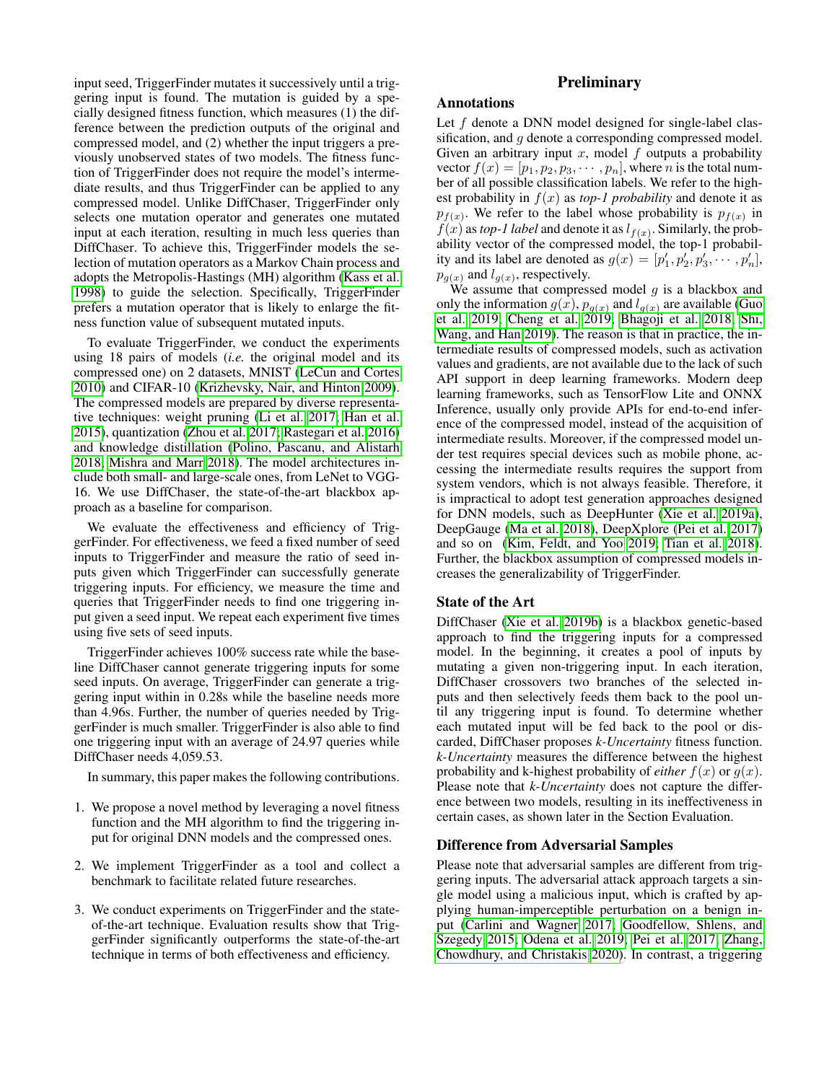input seed, TriggerFinder mutates it successively until a triggering input is found. The mutation is guided by a specially designed fitness function, which measures (1) the difference between the prediction outputs of the original and compressed model, and (2) whether the input triggers a previously unobserved states of two models. The fitness function of TriggerFinder does not require the model's intermediate results, and thus TriggerFinder can be applied to any compressed model. Unlike DiffChaser, TriggerFinder only selects one mutation operator and generates one mutated input at each iteration, resulting in much less queries than DiffChaser. To achieve this, TriggerFinder models the selection of mutation operators as a Markov Chain process and adopts the Metropolis-Hastings (MH) algorithm [\(Kass et al.](#page-7-4) [1998\)](#page-7-4) to guide the selection. Specifically, TriggerFinder prefers a mutation operator that is likely to enlarge the fitness function value of subsequent mutated inputs.

To evaluate TriggerFinder, we conduct the experiments using 18 pairs of models (*i.e.* the original model and its compressed one) on 2 datasets, MNIST [\(LeCun and Cortes](#page-7-5) [2010\)](#page-7-5) and CIFAR-10 [\(Krizhevsky, Nair, and Hinton 2009\)](#page-7-6). The compressed models are prepared by diverse representative techniques: weight pruning [\(Li et al. 2017;](#page-7-7) [Han et al.](#page-7-8) [2015\)](#page-7-8), quantization [\(Zhou et al. 2017;](#page-8-3) [Rastegari et al. 2016\)](#page-8-4) and knowledge distillation [\(Polino, Pascanu, and Alistarh](#page-8-5) [2018;](#page-8-5) [Mishra and Marr 2018\)](#page-8-6). The model architectures include both small- and large-scale ones, from LeNet to VGG-16. We use DiffChaser, the state-of-the-art blackbox approach as a baseline for comparison.

We evaluate the effectiveness and efficiency of TriggerFinder. For effectiveness, we feed a fixed number of seed inputs to TriggerFinder and measure the ratio of seed inputs given which TriggerFinder can successfully generate triggering inputs. For efficiency, we measure the time and queries that TriggerFinder needs to find one triggering input given a seed input. We repeat each experiment five times using five sets of seed inputs.

TriggerFinder achieves 100% success rate while the baseline DiffChaser cannot generate triggering inputs for some seed inputs. On average, TriggerFinder can generate a triggering input within in 0.28s while the baseline needs more than 4.96s. Further, the number of queries needed by TriggerFinder is much smaller. TriggerFinder is also able to find one triggering input with an average of 24.97 queries while DiffChaser needs 4,059.53.

In summary, this paper makes the following contributions.

- 1. We propose a novel method by leveraging a novel fitness function and the MH algorithm to find the triggering input for original DNN models and the compressed ones.
- 2. We implement TriggerFinder as a tool and collect a benchmark to facilitate related future researches.
- 3. We conduct experiments on TriggerFinder and the stateof-the-art technique. Evaluation results show that TriggerFinder significantly outperforms the state-of-the-art technique in terms of both effectiveness and efficiency.

# **Preliminary**

## Annotations

Let f denote a DNN model designed for single-label classification, and g denote a corresponding compressed model. Given an arbitrary input  $x$ , model  $f$  outputs a probability vector  $f(x) = [p_1, p_2, p_3, \cdots, p_n]$ , where *n* is the total number of all possible classification labels. We refer to the highest probability in  $f(x)$  as *top-1 probability* and denote it as  $p_{f(x)}$ . We refer to the label whose probability is  $p_{f(x)}$  in  $f(x)$  as *top-1 label* and denote it as  $l_{f(x)}$ . Similarly, the probability vector of the compressed model, the top-1 probability and its label are denoted as  $g(x) = [p'_1, p'_2, p'_3, \cdots, p'_n]$ ,  $p_{g(x)}$  and  $l_{g(x)}$ , respectively.

We assume that compressed model  $g$  is a blackbox and only the information  $g(x)$ ,  $p_{g(x)}$  and  $l_{g(x)}$  are available [\(Guo](#page-7-9) [et al. 2019;](#page-7-9) [Cheng et al. 2019;](#page-7-10) [Bhagoji et al. 2018;](#page-7-11) [Shi,](#page-8-7) [Wang, and Han 2019\)](#page-8-7). The reason is that in practice, the intermediate results of compressed models, such as activation values and gradients, are not available due to the lack of such API support in deep learning frameworks. Modern deep learning frameworks, such as TensorFlow Lite and ONNX Inference, usually only provide APIs for end-to-end inference of the compressed model, instead of the acquisition of intermediate results. Moreover, if the compressed model under test requires special devices such as mobile phone, accessing the intermediate results requires the support from system vendors, which is not always feasible. Therefore, it is impractical to adopt test generation approaches designed for DNN models, such as DeepHunter [\(Xie et al. 2019a\)](#page-8-2), DeepGauge [\(Ma et al. 2018\)](#page-7-12), DeepXplore [\(Pei et al. 2017\)](#page-8-8) and so on [\(Kim, Feldt, and Yoo 2019;](#page-7-13) [Tian et al. 2018\)](#page-8-9). Further, the blackbox assumption of compressed models increases the generalizability of TriggerFinder.

#### State of the Art

DiffChaser [\(Xie et al. 2019b\)](#page-8-1) is a blackbox genetic-based approach to find the triggering inputs for a compressed model. In the beginning, it creates a pool of inputs by mutating a given non-triggering input. In each iteration, DiffChaser crossovers two branches of the selected inputs and then selectively feeds them back to the pool until any triggering input is found. To determine whether each mutated input will be fed back to the pool or discarded, DiffChaser proposes *k-Uncertainty* fitness function. *k-Uncertainty* measures the difference between the highest probability and k-highest probability of *either*  $f(x)$  or  $g(x)$ . Please note that *k-Uncertainty* does not capture the difference between two models, resulting in its ineffectiveness in certain cases, as shown later in the Section Evaluation.

#### Difference from Adversarial Samples

Please note that adversarial samples are different from triggering inputs. The adversarial attack approach targets a single model using a malicious input, which is crafted by applying human-imperceptible perturbation on a benign input [\(Carlini and Wagner 2017;](#page-7-14) [Goodfellow, Shlens, and](#page-7-15) [Szegedy 2015;](#page-7-15) [Odena et al. 2019;](#page-8-10) [Pei et al. 2017;](#page-8-8) [Zhang,](#page-8-11) [Chowdhury, and Christakis 2020\)](#page-8-11). In contrast, a triggering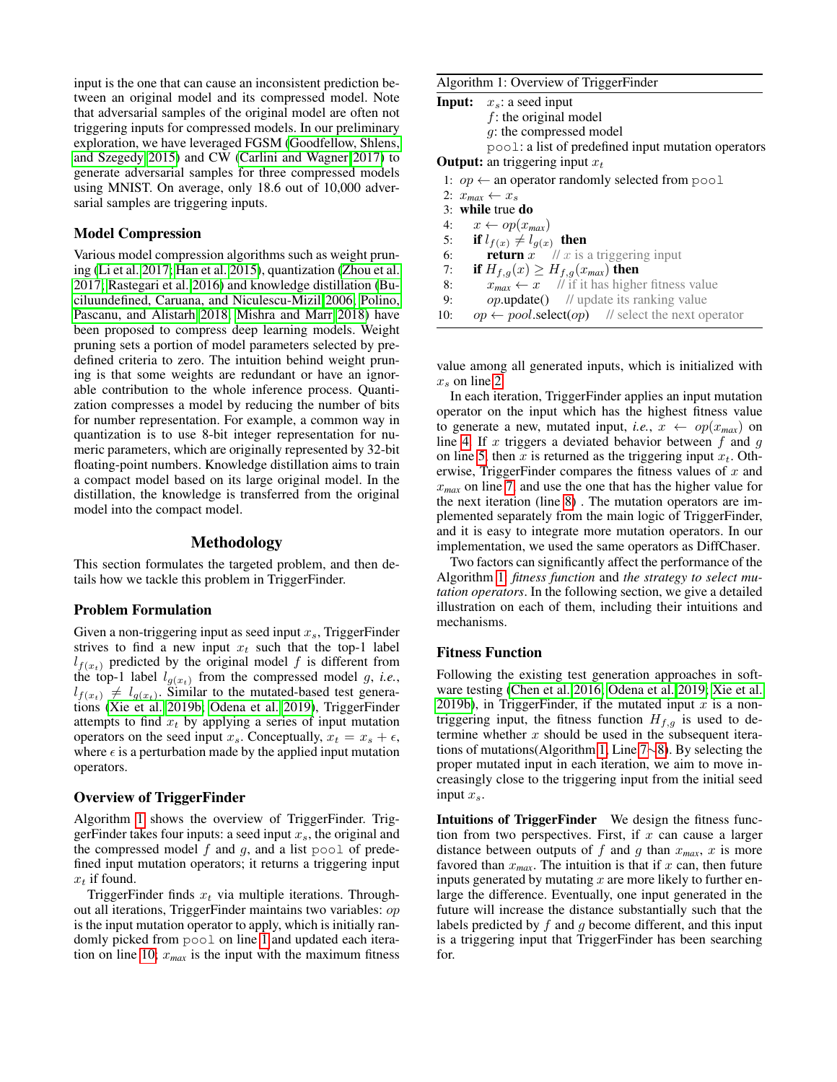input is the one that can cause an inconsistent prediction between an original model and its compressed model. Note that adversarial samples of the original model are often not triggering inputs for compressed models. In our preliminary exploration, we have leveraged FGSM [\(Goodfellow, Shlens,](#page-7-15) [and Szegedy 2015\)](#page-7-15) and CW [\(Carlini and Wagner 2017\)](#page-7-14) to generate adversarial samples for three compressed models using MNIST. On average, only 18.6 out of 10,000 adversarial samples are triggering inputs.

#### Model Compression

Various model compression algorithms such as weight pruning [\(Li et al. 2017;](#page-7-7) [Han et al. 2015\)](#page-7-8), quantization [\(Zhou et al.](#page-8-3) [2017;](#page-8-3) [Rastegari et al. 2016\)](#page-8-4) and knowledge distillation [\(Bu](#page-7-16)[ciluundefined, Caruana, and Niculescu-Mizil 2006;](#page-7-16) [Polino,](#page-8-5) [Pascanu, and Alistarh 2018;](#page-8-5) [Mishra and Marr 2018\)](#page-8-6) have been proposed to compress deep learning models. Weight pruning sets a portion of model parameters selected by predefined criteria to zero. The intuition behind weight pruning is that some weights are redundant or have an ignorable contribution to the whole inference process. Quantization compresses a model by reducing the number of bits for number representation. For example, a common way in quantization is to use 8-bit integer representation for numeric parameters, which are originally represented by 32-bit floating-point numbers. Knowledge distillation aims to train a compact model based on its large original model. In the distillation, the knowledge is transferred from the original model into the compact model.

#### Methodology

This section formulates the targeted problem, and then details how we tackle this problem in TriggerFinder.

#### Problem Formulation

Given a non-triggering input as seed input  $x_s$ , TriggerFinder strives to find a new input  $x_t$  such that the top-1 label  $l_{f(x_t)}$  predicted by the original model f is different from the top-1 label  $l_{g(x_t)}$  from the compressed model g, *i.e.*,  $l_{f(x_t)} \neq l_{g(x_t)}$ . Similar to the mutated-based test generations [\(Xie et al. 2019b;](#page-8-1) [Odena et al. 2019\)](#page-8-10), TriggerFinder attempts to find  $x_t$  by applying a series of input mutation operators on the seed input  $x_s$ . Conceptually,  $x_t = x_s + \epsilon$ , where  $\epsilon$  is a perturbation made by the applied input mutation operators.

#### Overview of TriggerFinder

Algorithm [1](#page-2-0) shows the overview of TriggerFinder. TriggerFinder takes four inputs: a seed input  $x<sub>s</sub>$ , the original and the compressed model  $f$  and  $g$ , and a list pool of predefined input mutation operators; it returns a triggering input  $x_t$  if found.

TriggerFinder finds  $x_t$  via multiple iterations. Throughout all iterations, TriggerFinder maintains two variables: op is the input mutation operator to apply, which is initially randomly picked from pool on line [1](#page-2-1) and updated each itera-tion on line [10;](#page-2-2)  $x_{max}$  is the input with the maximum fitness

#### <span id="page-2-0"></span>Algorithm 1: Overview of TriggerFinder

| <b>Input:</b> $x_s$ : a seed input                         |
|------------------------------------------------------------|
| $f$ : the original model                                   |
| g: the compressed model                                    |
| pool: a list of predefined input mutation operators        |
| <b>Output:</b> an triggering input $x_t$                   |
| 1: $op \leftarrow$ an operator randomly selected from pool |
| 2: $x_{max} \leftarrow x_s$                                |
|                                                            |

<span id="page-2-8"></span><span id="page-2-7"></span><span id="page-2-6"></span><span id="page-2-5"></span><span id="page-2-4"></span><span id="page-2-3"></span><span id="page-2-1"></span>3: while true do 4:  $x \leftarrow op(x_{max})$ 5: if  $l_{f(x)} \neq l_{g(x)}$  then 6: **return** x  $\mathcal{U}$  x is a triggering input 7: **if**  $H_{f,g}(x) \geq H_{f,g}(x_{max})$  then<br>8:  $x_{max} \leftarrow x$  // if it has highe 8:  $x_{max} \leftarrow x$  // if it has higher fitness value<br>9:  $\omega$ **p**.update() // update its ranking value  $op.\text{update}()$  // update its ranking value 10:  $op \leftarrow pool.\text{select}(op)$  // select the next operator

<span id="page-2-2"></span>value among all generated inputs, which is initialized with  $x_s$  on line [2.](#page-2-3)

In each iteration, TriggerFinder applies an input mutation operator on the input which has the highest fitness value to generate a new, mutated input, *i.e.*,  $x \leftarrow op(x_{max})$  on line [4.](#page-2-4) If x triggers a deviated behavior between  $f$  and  $g$ on line [5,](#page-2-5) then x is returned as the triggering input  $x_t$ . Otherwise, TriggerFinder compares the fitness values of  $x$  and x*max* on line [7,](#page-2-6) and use the one that has the higher value for the next iteration (line [8\)](#page-2-7) . The mutation operators are implemented separately from the main logic of TriggerFinder, and it is easy to integrate more mutation operators. In our implementation, we used the same operators as DiffChaser.

Two factors can significantly affect the performance of the Algorithm [1:](#page-2-0) *fitness function* and *the strategy to select mutation operators*. In the following section, we give a detailed illustration on each of them, including their intuitions and mechanisms.

#### Fitness Function

Following the existing test generation approaches in software testing [\(Chen et al. 2016;](#page-7-17) [Odena et al. 2019;](#page-8-10) [Xie et al.](#page-8-1) [2019b\)](#page-8-1), in TriggerFinder, if the mutated input  $x$  is a nontriggering input, the fitness function  $H_{f,g}$  is used to determine whether  $x$  should be used in the subsequent iterations of mutations(Algorithm [1,](#page-2-0) Line [7](#page-2-6)∼[8\)](#page-2-7). By selecting the proper mutated input in each iteration, we aim to move increasingly close to the triggering input from the initial seed input  $x_s$ .

Intuitions of TriggerFinder We design the fitness function from two perspectives. First, if  $x$  can cause a larger distance between outputs of f and g than  $x_{max}$ , x is more favored than  $x_{max}$ . The intuition is that if x can, then future inputs generated by mutating  $x$  are more likely to further enlarge the difference. Eventually, one input generated in the future will increase the distance substantially such that the labels predicted by  $f$  and  $g$  become different, and this input is a triggering input that TriggerFinder has been searching for.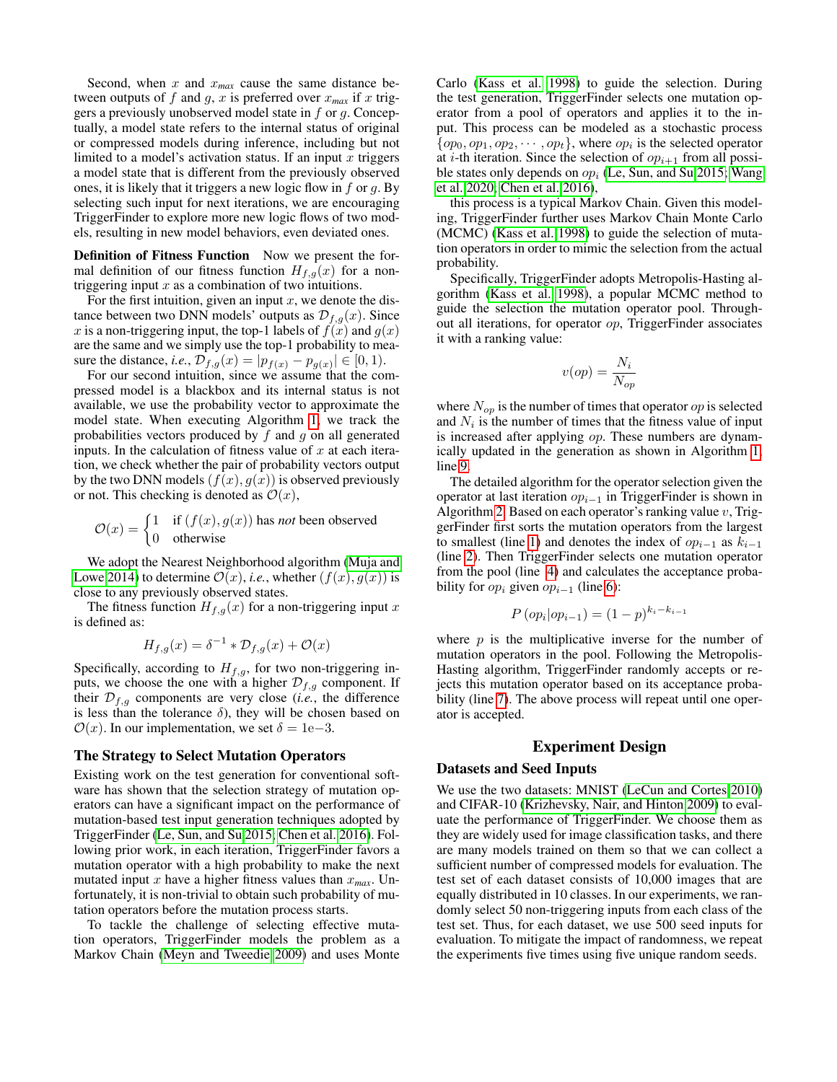Second, when  $x$  and  $x_{max}$  cause the same distance between outputs of f and g, x is preferred over  $x_{max}$  if x triggers a previously unobserved model state in  $f$  or  $g$ . Conceptually, a model state refers to the internal status of original or compressed models during inference, including but not limited to a model's activation status. If an input  $x$  triggers a model state that is different from the previously observed ones, it is likely that it triggers a new logic flow in  $f$  or  $g$ . By selecting such input for next iterations, we are encouraging TriggerFinder to explore more new logic flows of two models, resulting in new model behaviors, even deviated ones.

Definition of Fitness Function Now we present the formal definition of our fitness function  $H_{f,q}(x)$  for a nontriggering input  $x$  as a combination of two intuitions.

For the first intuition, given an input  $x$ , we denote the distance between two DNN models' outputs as  $\mathcal{D}_{f,g}(x)$ . Since x is a non-triggering input, the top-1 labels of  $f(x)$  and  $g(x)$ are the same and we simply use the top-1 probability to measure the distance, *i.e.*,  $\mathcal{D}_{f,g}(x) = |p_{f(x)} - p_{g(x)}| \in [0, 1)$ .

For our second intuition, since we assume that the compressed model is a blackbox and its internal status is not available, we use the probability vector to approximate the model state. When executing Algorithm [1,](#page-2-0) we track the probabilities vectors produced by  $f$  and  $g$  on all generated inputs. In the calculation of fitness value of  $x$  at each iteration, we check whether the pair of probability vectors output by the two DNN models  $(f(x), g(x))$  is observed previously or not. This checking is denoted as  $\mathcal{O}(x)$ ,

$$
\mathcal{O}(x) = \begin{cases} 1 & \text{if } (f(x), g(x)) \text{ has not been observed} \\ 0 & \text{otherwise} \end{cases}
$$

We adopt the Nearest Neighborhood algorithm [\(Muja and](#page-8-12) [Lowe 2014\)](#page-8-12) to determine  $\mathcal{O}(x)$ , *i.e.*, whether  $(f(x), g(x))$  is close to any previously observed states.

The fitness function  $H_{f,g}(x)$  for a non-triggering input x is defined as:

$$
H_{f,g}(x) = \delta^{-1} * \mathcal{D}_{f,g}(x) + \mathcal{O}(x)
$$

Specifically, according to  $H_{f,g}$ , for two non-triggering inputs, we choose the one with a higher  $\mathcal{D}_{f,g}$  component. If their  $\mathcal{D}_{f,g}$  components are very close (*i.e.*, the difference is less than the tolerance  $\delta$ ), they will be chosen based on  $\mathcal{O}(x)$ . In our implementation, we set  $\delta = 1e-3$ .

#### The Strategy to Select Mutation Operators

Existing work on the test generation for conventional software has shown that the selection strategy of mutation operators can have a significant impact on the performance of mutation-based test input generation techniques adopted by TriggerFinder [\(Le, Sun, and Su 2015;](#page-7-18) [Chen et al. 2016\)](#page-7-17). Following prior work, in each iteration, TriggerFinder favors a mutation operator with a high probability to make the next mutated input x have a higher fitness values than x*max*. Unfortunately, it is non-trivial to obtain such probability of mutation operators before the mutation process starts.

To tackle the challenge of selecting effective mutation operators, TriggerFinder models the problem as a Markov Chain [\(Meyn and Tweedie 2009\)](#page-8-13) and uses Monte Carlo [\(Kass et al. 1998\)](#page-7-4) to guide the selection. During the test generation, TriggerFinder selects one mutation operator from a pool of operators and applies it to the input. This process can be modeled as a stochastic process  $\{op_0, op_1, op_2, \cdots, op_t\}$ , where  $op_i$  is the selected operator at *i*-th iteration. Since the selection of  $op_{i+1}$  from all possible states only depends on  $op_i$  [\(Le, Sun, and Su 2015;](#page-7-18) [Wang](#page-8-14) [et al. 2020;](#page-8-14) [Chen et al. 2016\)](#page-7-17),

this process is a typical Markov Chain. Given this modeling, TriggerFinder further uses Markov Chain Monte Carlo (MCMC) [\(Kass et al. 1998\)](#page-7-4) to guide the selection of mutation operators in order to mimic the selection from the actual probability.

Specifically, TriggerFinder adopts Metropolis-Hasting algorithm [\(Kass et al. 1998\)](#page-7-4), a popular MCMC method to guide the selection the mutation operator pool. Throughout all iterations, for operator op, TriggerFinder associates it with a ranking value:

$$
v(op) = \frac{N_i}{N_{op}}
$$

where  $N_{op}$  is the number of times that operator  $op$  is selected and  $N_i$  is the number of times that the fitness value of input is increased after applying op. These numbers are dynamically updated in the generation as shown in Algorithm [1,](#page-2-0) line [9.](#page-2-8)

The detailed algorithm for the operator selection given the operator at last iteration  $op_{i-1}$  in TriggerFinder is shown in Algorithm [2.](#page-4-0) Based on each operator's ranking value  $v$ , TriggerFinder first sorts the mutation operators from the largest to smallest (line [1\)](#page-4-1) and denotes the index of  $op_{i-1}$  as  $k_{i-1}$ (line [2\)](#page-4-2). Then TriggerFinder selects one mutation operator from the pool (line [4\)](#page-4-3) and calculates the acceptance probability for  $op_i$  given  $op_{i-1}$  (line [6\)](#page-4-4):

$$
P\left( op_i | op_{i-1} \right) = (1-p)^{k_i - k_{i-1}}
$$

where  $p$  is the multiplicative inverse for the number of mutation operators in the pool. Following the Metropolis-Hasting algorithm, TriggerFinder randomly accepts or rejects this mutation operator based on its acceptance proba-bility (line [7\)](#page-4-5). The above process will repeat until one operator is accepted.

# Experiment Design

#### Datasets and Seed Inputs

We use the two datasets: MNIST [\(LeCun and Cortes 2010\)](#page-7-5) and CIFAR-10 [\(Krizhevsky, Nair, and Hinton 2009\)](#page-7-6) to evaluate the performance of TriggerFinder. We choose them as they are widely used for image classification tasks, and there are many models trained on them so that we can collect a sufficient number of compressed models for evaluation. The test set of each dataset consists of 10,000 images that are equally distributed in 10 classes. In our experiments, we randomly select 50 non-triggering inputs from each class of the test set. Thus, for each dataset, we use 500 seed inputs for evaluation. To mitigate the impact of randomness, we repeat the experiments five times using five unique random seeds.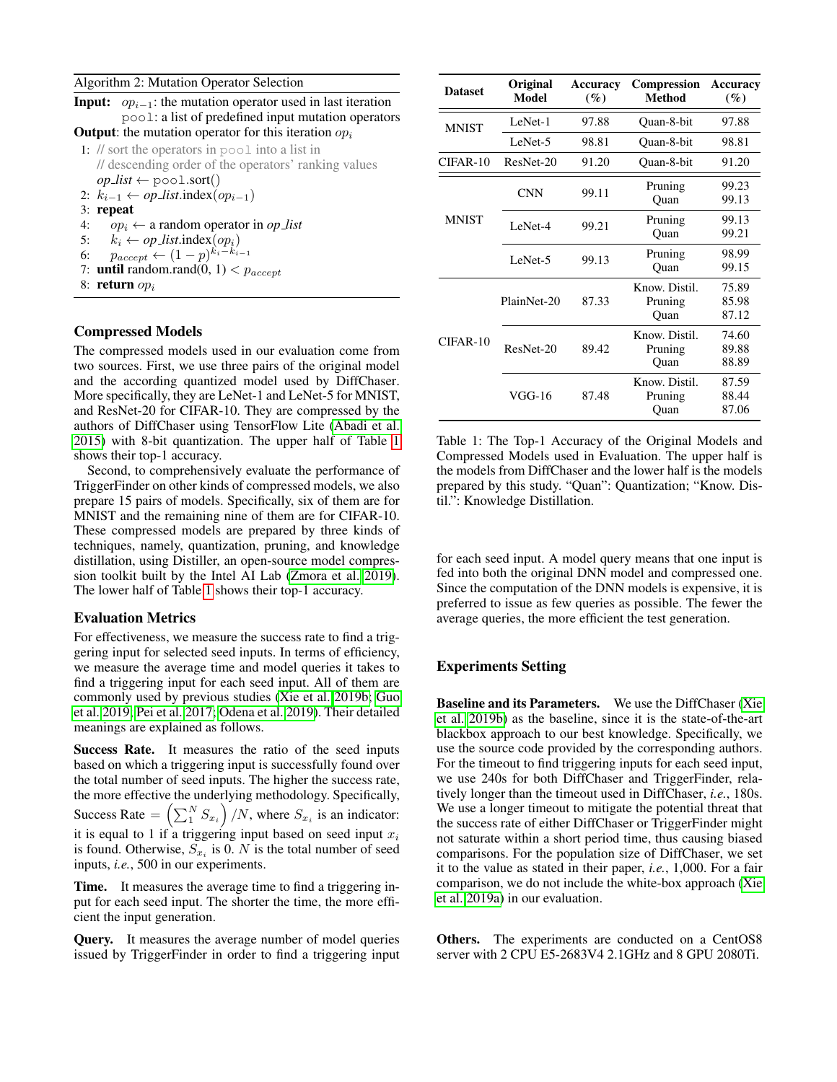<span id="page-4-0"></span>

| Algorithm 2: Mutation Operator Selection |  |  |  |
|------------------------------------------|--|--|--|
|                                          |  |  |  |

<span id="page-4-1"></span>

<span id="page-4-4"></span><span id="page-4-3"></span><span id="page-4-2"></span>6:  $p_{accept} \leftarrow (1-p)^{k_i - k'_{i-1}}$ 

- <span id="page-4-5"></span>7: **until** random.rand $(0, 1) < p_{accept}$
- 8: return  $op_i$

## Compressed Models

The compressed models used in our evaluation come from two sources. First, we use three pairs of the original model and the according quantized model used by DiffChaser. More specifically, they are LeNet-1 and LeNet-5 for MNIST, and ResNet-20 for CIFAR-10. They are compressed by the authors of DiffChaser using TensorFlow Lite [\(Abadi et al.](#page-7-19) [2015\)](#page-7-19) with 8-bit quantization. The upper half of Table [1](#page-4-6) shows their top-1 accuracy.

Second, to comprehensively evaluate the performance of TriggerFinder on other kinds of compressed models, we also prepare 15 pairs of models. Specifically, six of them are for MNIST and the remaining nine of them are for CIFAR-10. These compressed models are prepared by three kinds of techniques, namely, quantization, pruning, and knowledge distillation, using Distiller, an open-source model compression toolkit built by the Intel AI Lab [\(Zmora et al. 2019\)](#page-8-15). The lower half of Table [1](#page-4-6) shows their top-1 accuracy.

#### Evaluation Metrics

For effectiveness, we measure the success rate to find a triggering input for selected seed inputs. In terms of efficiency, we measure the average time and model queries it takes to find a triggering input for each seed input. All of them are commonly used by previous studies [\(Xie et al. 2019b;](#page-8-1) [Guo](#page-7-9) [et al. 2019;](#page-7-9) [Pei et al. 2017;](#page-8-8) [Odena et al. 2019\)](#page-8-10). Their detailed meanings are explained as follows.

Success Rate. It measures the ratio of the seed inputs based on which a triggering input is successfully found over the total number of seed inputs. The higher the success rate, the more effective the underlying methodology. Specifically, Success Rate  $= \left(\sum_{i=1}^{N} S_{x_i}\right)/N$ , where  $S_{x_i}$  is an indicator: it is equal to 1 if a triggering input based on seed input  $x_i$ is found. Otherwise,  $S_{x_i}$  is 0. N is the total number of seed inputs, *i.e.*, 500 in our experiments.

Time. It measures the average time to find a triggering input for each seed input. The shorter the time, the more efficient the input generation.

Query. It measures the average number of model queries issued by TriggerFinder in order to find a triggering input

<span id="page-4-6"></span>

| <b>Dataset</b> | Original<br>Model | Accuracy<br>$($ %) | <b>Compression</b><br><b>Method</b> | Accuracy<br>$($ %)      |  |
|----------------|-------------------|--------------------|-------------------------------------|-------------------------|--|
| <b>MNIST</b>   | LeNet-1           | 97.88              | Ouan-8-bit                          | 97.88                   |  |
|                | LeNet-5           | 98.81              | Ouan-8-bit                          | 98.81                   |  |
| CIFAR-10       | ResNet-20         | 91.20              | Ouan-8-bit                          | 91.20                   |  |
|                | <b>CNN</b>        | 99.11              | Pruning<br>Ouan                     | 99.23<br>99.13          |  |
| <b>MNIST</b>   | LeNet-4           | 99.21              | Pruning<br>Quan                     | 99.13<br>99.21          |  |
|                | LeNet-5           | 99.13              | Pruning<br>Quan                     | 98.99<br>99.15          |  |
|                | PlainNet-20       | 87.33              | Know. Distil.<br>Pruning<br>Ouan    | 75.89<br>85.98<br>87.12 |  |
| $CIFAR-10$     | ResNet-20         | 89.42              | Know. Distil.<br>Pruning<br>Ouan    | 74.60<br>89.88<br>88.89 |  |
|                | VGG-16            | 87.48              | Know Distil.<br>Pruning<br>Ouan     | 87.59<br>88.44<br>87.06 |  |

Table 1: The Top-1 Accuracy of the Original Models and Compressed Models used in Evaluation. The upper half is the models from DiffChaser and the lower half is the models prepared by this study. "Quan": Quantization; "Know. Distil.": Knowledge Distillation.

for each seed input. A model query means that one input is fed into both the original DNN model and compressed one. Since the computation of the DNN models is expensive, it is preferred to issue as few queries as possible. The fewer the average queries, the more efficient the test generation.

# Experiments Setting

Baseline and its Parameters. We use the DiffChaser [\(Xie](#page-8-1) [et al. 2019b\)](#page-8-1) as the baseline, since it is the state-of-the-art blackbox approach to our best knowledge. Specifically, we use the source code provided by the corresponding authors. For the timeout to find triggering inputs for each seed input, we use 240s for both DiffChaser and TriggerFinder, relatively longer than the timeout used in DiffChaser, *i.e.*, 180s. We use a longer timeout to mitigate the potential threat that the success rate of either DiffChaser or TriggerFinder might not saturate within a short period time, thus causing biased comparisons. For the population size of DiffChaser, we set it to the value as stated in their paper, *i.e.*, 1,000. For a fair comparison, we do not include the white-box approach [\(Xie](#page-8-2) [et al. 2019a\)](#page-8-2) in our evaluation.

Others. The experiments are conducted on a CentOS8 server with 2 CPU E5-2683V4 2.1GHz and 8 GPU 2080Ti.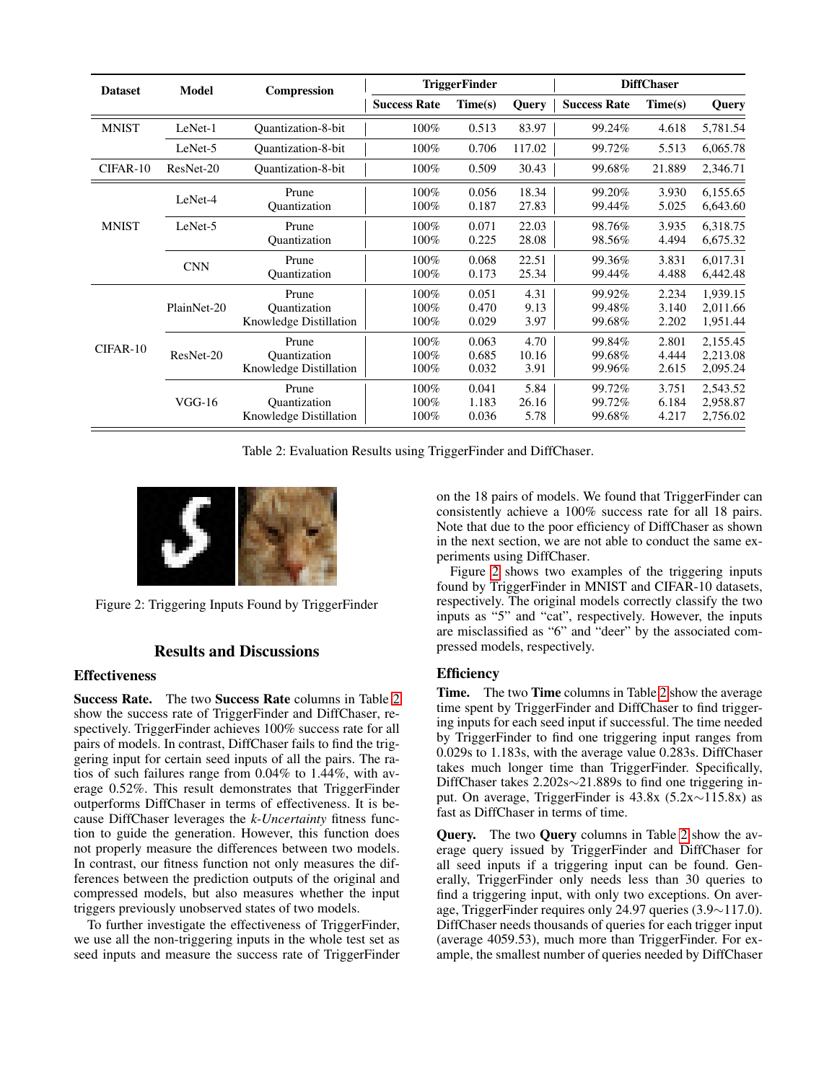<span id="page-5-0"></span>

| <b>Dataset</b> | <b>Model</b> | <b>Compression</b>                              | <b>TriggerFinder</b>    |                         |                       | <b>DiffChaser</b>          |                         |                                  |
|----------------|--------------|-------------------------------------------------|-------------------------|-------------------------|-----------------------|----------------------------|-------------------------|----------------------------------|
|                |              |                                                 | <b>Success Rate</b>     | Time(s)                 | <b>Query</b>          | <b>Success Rate</b>        | Time(s)                 | <b>Query</b>                     |
| <b>MNIST</b>   | LeNet-1      | <b>Ouantization-8-bit</b>                       | 100%                    | 0.513                   | 83.97                 | 99.24%                     | 4.618                   | 5,781.54                         |
|                | LeNet-5      | Quantization-8-bit                              | 100%                    | 0.706                   | 117.02                | 99.72%                     | 5.513                   | 6,065.78                         |
| CIFAR-10       | ResNet-20    | <b>Ouantization-8-bit</b>                       | 100%                    | 0.509                   | 30.43                 | 99.68%                     | 21.889                  | 2,346.71                         |
|                | LeNet-4      | Prune<br><b>Quantization</b>                    | 100%<br>100%            | 0.056<br>0.187          | 18.34<br>27.83        | 99.20%<br>99.44%           | 3.930<br>5.025          | 6,155.65<br>6,643.60             |
| <b>MNIST</b>   | LeNet-5      | Prune<br>Quantization                           | 100%<br>100%            | 0.071<br>0.225          | 22.03<br>28.08        | 98.76%<br>98.56%           | 3.935<br>4.494          | 6,318.75<br>6,675.32             |
|                | <b>CNN</b>   | Prune<br>Ouantization                           | 100%<br>100%            | 0.068<br>0.173          | 22.51<br>25.34        | 99.36%<br>99.44%           | 3.831<br>4.488          | 6,017.31<br>6,442.48             |
|                | PlainNet-20  | Prune<br>Quantization<br>Knowledge Distillation | 100%<br>100%<br>100%    | 0.051<br>0.470<br>0.029 | 4.31<br>9.13<br>3.97  | 99.92%<br>99.48%<br>99.68% | 2.234<br>3.140<br>2.202 | 1,939.15<br>2,011.66<br>1,951.44 |
| CIFAR-10       | ResNet-20    | Prune<br>Ouantization<br>Knowledge Distillation | 100%<br>100%<br>100%    | 0.063<br>0.685<br>0.032 | 4.70<br>10.16<br>3.91 | 99.84%<br>99.68%<br>99.96% | 2.801<br>4.444<br>2.615 | 2,155.45<br>2,213.08<br>2,095.24 |
|                | $VGG-16$     | Prune<br>Quantization<br>Knowledge Distillation | 100%<br>$100\%$<br>100% | 0.041<br>1.183<br>0.036 | 5.84<br>26.16<br>5.78 | 99.72%<br>99.72%<br>99.68% | 3.751<br>6.184<br>4.217 | 2,543.52<br>2,958.87<br>2,756.02 |

Table 2: Evaluation Results using TriggerFinder and DiffChaser.

<span id="page-5-1"></span>

Figure 2: Triggering Inputs Found by TriggerFinder

# Results and Discussions

# **Effectiveness**

Success Rate. The two Success Rate columns in Table [2](#page-5-0) show the success rate of TriggerFinder and DiffChaser, respectively. TriggerFinder achieves 100% success rate for all pairs of models. In contrast, DiffChaser fails to find the triggering input for certain seed inputs of all the pairs. The ratios of such failures range from 0.04% to 1.44%, with average 0.52%. This result demonstrates that TriggerFinder outperforms DiffChaser in terms of effectiveness. It is because DiffChaser leverages the *k-Uncertainty* fitness function to guide the generation. However, this function does not properly measure the differences between two models. In contrast, our fitness function not only measures the differences between the prediction outputs of the original and compressed models, but also measures whether the input triggers previously unobserved states of two models.

To further investigate the effectiveness of TriggerFinder, we use all the non-triggering inputs in the whole test set as seed inputs and measure the success rate of TriggerFinder on the 18 pairs of models. We found that TriggerFinder can consistently achieve a 100% success rate for all 18 pairs. Note that due to the poor efficiency of DiffChaser as shown in the next section, we are not able to conduct the same experiments using DiffChaser.

Figure [2](#page-5-1) shows two examples of the triggering inputs found by TriggerFinder in MNIST and CIFAR-10 datasets, respectively. The original models correctly classify the two inputs as "5" and "cat", respectively. However, the inputs are misclassified as "6" and "deer" by the associated compressed models, respectively.

# **Efficiency**

Time. The two Time columns in Table [2](#page-5-0) show the average time spent by TriggerFinder and DiffChaser to find triggering inputs for each seed input if successful. The time needed by TriggerFinder to find one triggering input ranges from 0.029s to 1.183s, with the average value 0.283s. DiffChaser takes much longer time than TriggerFinder. Specifically, DiffChaser takes 2.202s∼21.889s to find one triggering input. On average, TriggerFinder is 43.8x (5.2x∼115.8x) as fast as DiffChaser in terms of time.

Query. The two Query columns in Table [2](#page-5-0) show the average query issued by TriggerFinder and DiffChaser for all seed inputs if a triggering input can be found. Generally, TriggerFinder only needs less than 30 queries to find a triggering input, with only two exceptions. On average, TriggerFinder requires only 24.97 queries (3.9∼117.0). DiffChaser needs thousands of queries for each trigger input (average 4059.53), much more than TriggerFinder. For example, the smallest number of queries needed by DiffChaser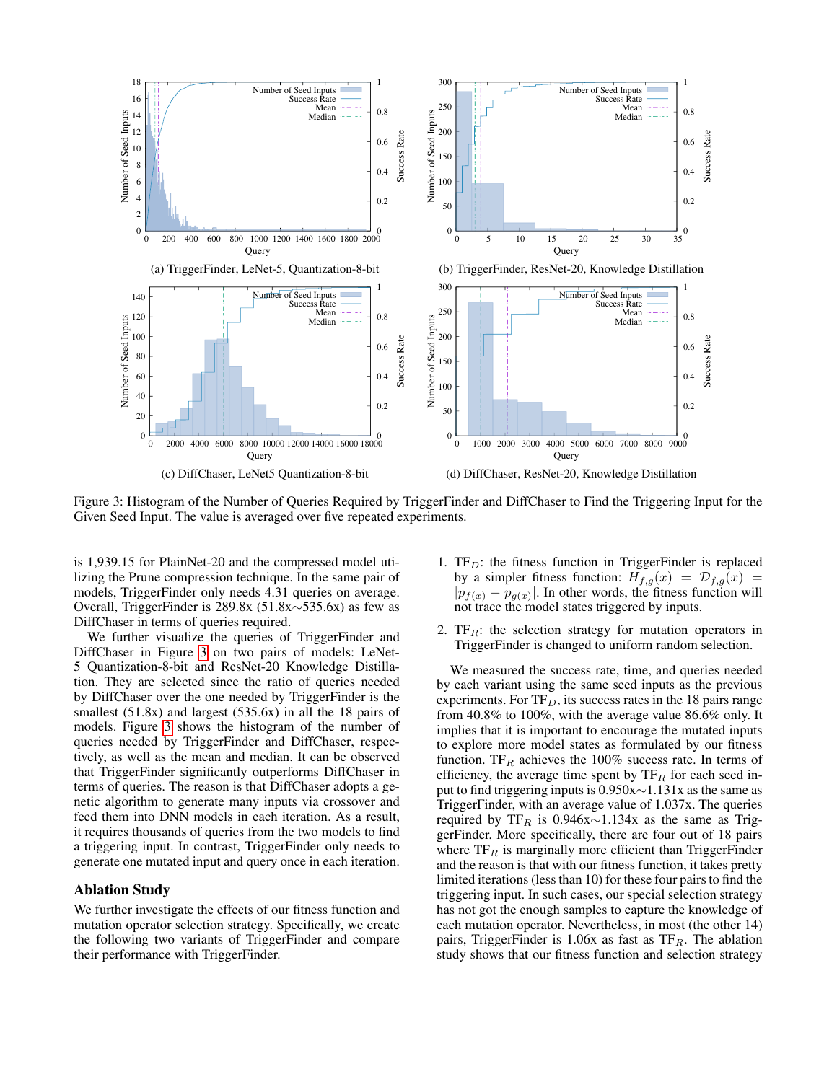<span id="page-6-0"></span>

Figure 3: Histogram of the Number of Queries Required by TriggerFinder and DiffChaser to Find the Triggering Input for the Given Seed Input. The value is averaged over five repeated experiments.

is 1,939.15 for PlainNet-20 and the compressed model utilizing the Prune compression technique. In the same pair of models, TriggerFinder only needs 4.31 queries on average. Overall, TriggerFinder is 289.8x (51.8x∼535.6x) as few as DiffChaser in terms of queries required.

We further visualize the queries of TriggerFinder and DiffChaser in Figure [3](#page-6-0) on two pairs of models: LeNet-5 Quantization-8-bit and ResNet-20 Knowledge Distillation. They are selected since the ratio of queries needed by DiffChaser over the one needed by TriggerFinder is the smallest (51.8x) and largest (535.6x) in all the 18 pairs of models. Figure [3](#page-6-0) shows the histogram of the number of queries needed by TriggerFinder and DiffChaser, respectively, as well as the mean and median. It can be observed that TriggerFinder significantly outperforms DiffChaser in terms of queries. The reason is that DiffChaser adopts a genetic algorithm to generate many inputs via crossover and feed them into DNN models in each iteration. As a result, it requires thousands of queries from the two models to find a triggering input. In contrast, TriggerFinder only needs to generate one mutated input and query once in each iteration.

#### Ablation Study

We further investigate the effects of our fitness function and mutation operator selection strategy. Specifically, we create the following two variants of TriggerFinder and compare their performance with TriggerFinder.

- 1.  $TF_D$ : the fitness function in TriggerFinder is replaced by a simpler fitness function:  $H_{f,g}(x) = \mathcal{D}_{f,g}(x)$  $|p_{f(x)} - p_{g(x)}|$ . In other words, the fitness function will not trace the model states triggered by inputs.
- 2.  $TF_R$ : the selection strategy for mutation operators in TriggerFinder is changed to uniform random selection.

We measured the success rate, time, and queries needed by each variant using the same seed inputs as the previous experiments. For  $TF_D$ , its success rates in the 18 pairs range from 40.8% to 100%, with the average value 86.6% only. It implies that it is important to encourage the mutated inputs to explore more model states as formulated by our fitness function. TF<sub>R</sub> achieves the 100% success rate. In terms of efficiency, the average time spent by  $TF_R$  for each seed input to find triggering inputs is 0.950x∼1.131x as the same as TriggerFinder, with an average value of 1.037x. The queries required by TF<sub>R</sub> is 0.946x∼1.134x as the same as TriggerFinder. More specifically, there are four out of 18 pairs where  $TF_R$  is marginally more efficient than TriggerFinder and the reason is that with our fitness function, it takes pretty limited iterations (less than 10) for these four pairs to find the triggering input. In such cases, our special selection strategy has not got the enough samples to capture the knowledge of each mutation operator. Nevertheless, in most (the other 14) pairs, TriggerFinder is  $1.06x$  as fast as TF<sub>R</sub>. The ablation study shows that our fitness function and selection strategy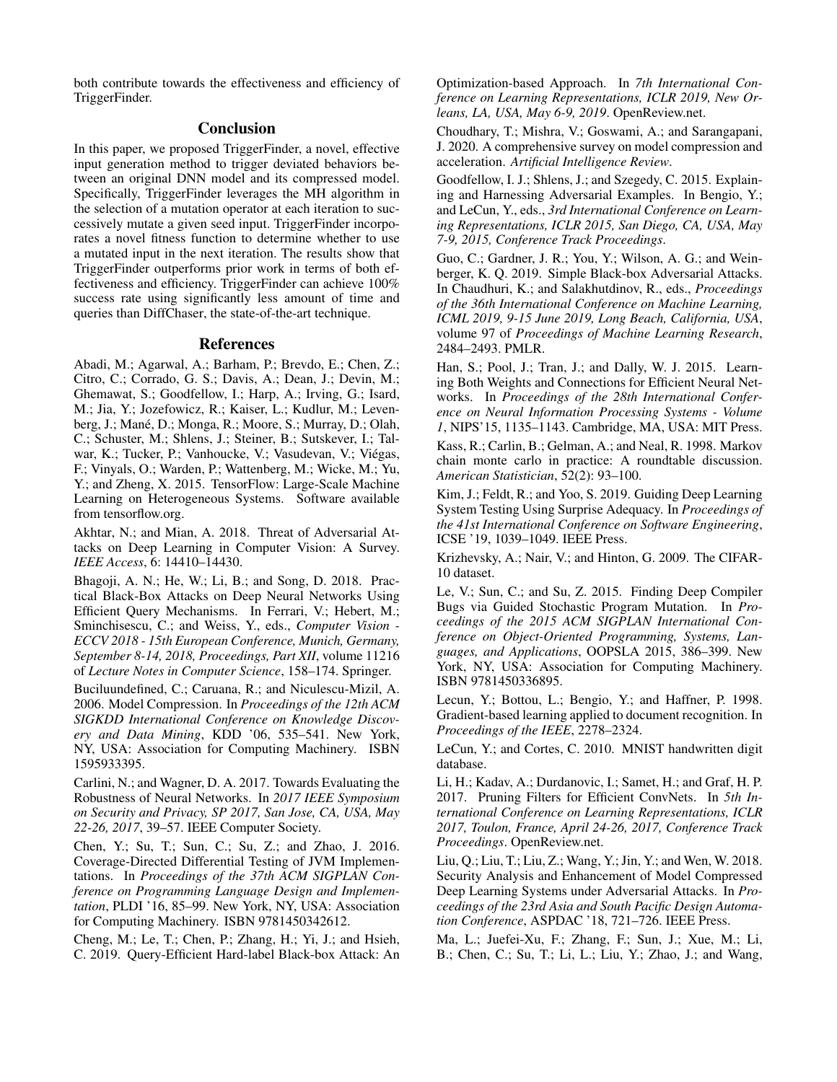both contribute towards the effectiveness and efficiency of TriggerFinder.

# Conclusion

In this paper, we proposed TriggerFinder, a novel, effective input generation method to trigger deviated behaviors between an original DNN model and its compressed model. Specifically, TriggerFinder leverages the MH algorithm in the selection of a mutation operator at each iteration to successively mutate a given seed input. TriggerFinder incorporates a novel fitness function to determine whether to use a mutated input in the next iteration. The results show that TriggerFinder outperforms prior work in terms of both effectiveness and efficiency. TriggerFinder can achieve 100% success rate using significantly less amount of time and queries than DiffChaser, the state-of-the-art technique.

#### References

<span id="page-7-19"></span>Abadi, M.; Agarwal, A.; Barham, P.; Brevdo, E.; Chen, Z.; Citro, C.; Corrado, G. S.; Davis, A.; Dean, J.; Devin, M.; Ghemawat, S.; Goodfellow, I.; Harp, A.; Irving, G.; Isard, M.; Jia, Y.; Jozefowicz, R.; Kaiser, L.; Kudlur, M.; Levenberg, J.; Mané, D.; Monga, R.; Moore, S.; Murray, D.; Olah, C.; Schuster, M.; Shlens, J.; Steiner, B.; Sutskever, I.; Talwar, K.; Tucker, P.; Vanhoucke, V.; Vasudevan, V.; Viégas, F.; Vinyals, O.; Warden, P.; Wattenberg, M.; Wicke, M.; Yu, Y.; and Zheng, X. 2015. TensorFlow: Large-Scale Machine Learning on Heterogeneous Systems. Software available from tensorflow.org.

<span id="page-7-2"></span>Akhtar, N.; and Mian, A. 2018. Threat of Adversarial Attacks on Deep Learning in Computer Vision: A Survey. *IEEE Access*, 6: 14410–14430.

<span id="page-7-11"></span>Bhagoji, A. N.; He, W.; Li, B.; and Song, D. 2018. Practical Black-Box Attacks on Deep Neural Networks Using Efficient Query Mechanisms. In Ferrari, V.; Hebert, M.; Sminchisescu, C.; and Weiss, Y., eds., *Computer Vision - ECCV 2018 - 15th European Conference, Munich, Germany, September 8-14, 2018, Proceedings, Part XII*, volume 11216 of *Lecture Notes in Computer Science*, 158–174. Springer.

<span id="page-7-16"></span>Buciluundefined, C.; Caruana, R.; and Niculescu-Mizil, A. 2006. Model Compression. In *Proceedings of the 12th ACM SIGKDD International Conference on Knowledge Discovery and Data Mining*, KDD '06, 535–541. New York, NY, USA: Association for Computing Machinery. ISBN 1595933395.

<span id="page-7-14"></span>Carlini, N.; and Wagner, D. A. 2017. Towards Evaluating the Robustness of Neural Networks. In *2017 IEEE Symposium on Security and Privacy, SP 2017, San Jose, CA, USA, May 22-26, 2017*, 39–57. IEEE Computer Society.

<span id="page-7-17"></span>Chen, Y.; Su, T.; Sun, C.; Su, Z.; and Zhao, J. 2016. Coverage-Directed Differential Testing of JVM Implementations. In *Proceedings of the 37th ACM SIGPLAN Conference on Programming Language Design and Implementation*, PLDI '16, 85–99. New York, NY, USA: Association for Computing Machinery. ISBN 9781450342612.

<span id="page-7-10"></span>Cheng, M.; Le, T.; Chen, P.; Zhang, H.; Yi, J.; and Hsieh, C. 2019. Query-Efficient Hard-label Black-box Attack: An

Optimization-based Approach. In *7th International Conference on Learning Representations, ICLR 2019, New Orleans, LA, USA, May 6-9, 2019*. OpenReview.net.

<span id="page-7-0"></span>Choudhary, T.; Mishra, V.; Goswami, A.; and Sarangapani, J. 2020. A comprehensive survey on model compression and acceleration. *Artificial Intelligence Review*.

<span id="page-7-15"></span>Goodfellow, I. J.; Shlens, J.; and Szegedy, C. 2015. Explaining and Harnessing Adversarial Examples. In Bengio, Y.; and LeCun, Y., eds., *3rd International Conference on Learning Representations, ICLR 2015, San Diego, CA, USA, May 7-9, 2015, Conference Track Proceedings*.

<span id="page-7-9"></span>Guo, C.; Gardner, J. R.; You, Y.; Wilson, A. G.; and Weinberger, K. Q. 2019. Simple Black-box Adversarial Attacks. In Chaudhuri, K.; and Salakhutdinov, R., eds., *Proceedings of the 36th International Conference on Machine Learning, ICML 2019, 9-15 June 2019, Long Beach, California, USA*, volume 97 of *Proceedings of Machine Learning Research*, 2484–2493. PMLR.

<span id="page-7-8"></span>Han, S.; Pool, J.; Tran, J.; and Dally, W. J. 2015. Learning Both Weights and Connections for Efficient Neural Networks. In *Proceedings of the 28th International Conference on Neural Information Processing Systems - Volume 1*, NIPS'15, 1135–1143. Cambridge, MA, USA: MIT Press.

<span id="page-7-4"></span>Kass, R.; Carlin, B.; Gelman, A.; and Neal, R. 1998. Markov chain monte carlo in practice: A roundtable discussion. *American Statistician*, 52(2): 93–100.

<span id="page-7-13"></span>Kim, J.; Feldt, R.; and Yoo, S. 2019. Guiding Deep Learning System Testing Using Surprise Adequacy. In *Proceedings of the 41st International Conference on Software Engineering*, ICSE '19, 1039–1049. IEEE Press.

<span id="page-7-6"></span>Krizhevsky, A.; Nair, V.; and Hinton, G. 2009. The CIFAR-10 dataset.

<span id="page-7-18"></span>Le, V.; Sun, C.; and Su, Z. 2015. Finding Deep Compiler Bugs via Guided Stochastic Program Mutation. In *Proceedings of the 2015 ACM SIGPLAN International Conference on Object-Oriented Programming, Systems, Languages, and Applications*, OOPSLA 2015, 386–399. New York, NY, USA: Association for Computing Machinery. ISBN 9781450336895.

<span id="page-7-1"></span>Lecun, Y.; Bottou, L.; Bengio, Y.; and Haffner, P. 1998. Gradient-based learning applied to document recognition. In *Proceedings of the IEEE*, 2278–2324.

<span id="page-7-5"></span>LeCun, Y.; and Cortes, C. 2010. MNIST handwritten digit database.

<span id="page-7-7"></span>Li, H.; Kadav, A.; Durdanovic, I.; Samet, H.; and Graf, H. P. 2017. Pruning Filters for Efficient ConvNets. In *5th International Conference on Learning Representations, ICLR 2017, Toulon, France, April 24-26, 2017, Conference Track Proceedings*. OpenReview.net.

<span id="page-7-3"></span>Liu, Q.; Liu, T.; Liu, Z.; Wang, Y.; Jin, Y.; and Wen, W. 2018. Security Analysis and Enhancement of Model Compressed Deep Learning Systems under Adversarial Attacks. In *Proceedings of the 23rd Asia and South Pacific Design Automation Conference*, ASPDAC '18, 721–726. IEEE Press.

<span id="page-7-12"></span>Ma, L.; Juefei-Xu, F.; Zhang, F.; Sun, J.; Xue, M.; Li, B.; Chen, C.; Su, T.; Li, L.; Liu, Y.; Zhao, J.; and Wang,